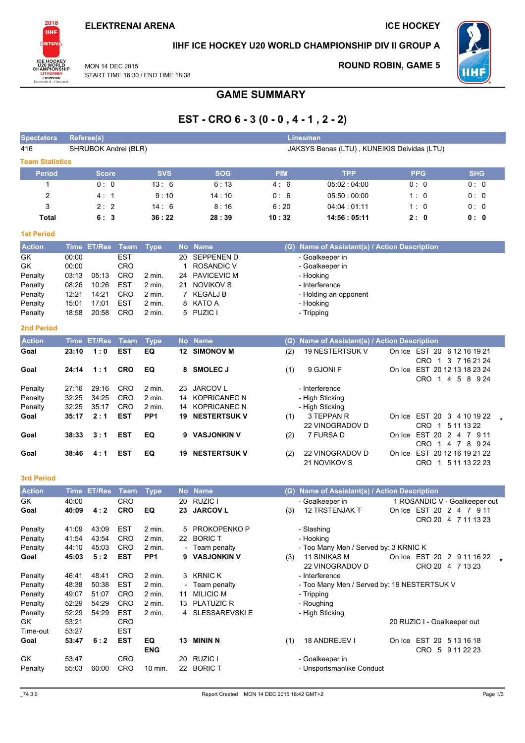**ROUND ROBIN, GAME 5** 



IIHF ICE HOCKEY U20 WORLD CHAMPIONSHIP DIV II GROUP A

**WHF** 

**MON 14 DEC 2015** START TIME 16:30 / END TIME 18:38

# **GAME SUMMARY**

# EST - CRO  $6 - 3 (0 - 0, 4 - 1, 2 - 2)$

| <b>Spectators</b>      | Referee(s)<br><b>Linesmen</b>                                       |                |                          |                           |    |                                 |            |                                                              |  |            |                                                  |
|------------------------|---------------------------------------------------------------------|----------------|--------------------------|---------------------------|----|---------------------------------|------------|--------------------------------------------------------------|--|------------|--------------------------------------------------|
| 416                    | SHRUBOK Andrei (BLR)<br>JAKSYS Benas (LTU), KUNEIKIS Deividas (LTU) |                |                          |                           |    |                                 |            |                                                              |  |            |                                                  |
| <b>Team Statistics</b> |                                                                     |                |                          |                           |    |                                 |            |                                                              |  |            |                                                  |
| <b>Period</b>          |                                                                     | <b>Score</b>   |                          | <b>SVS</b>                |    | <b>SOG</b>                      | <b>PIM</b> | <b>TPP</b>                                                   |  | <b>PPG</b> | <b>SHG</b>                                       |
| 1                      |                                                                     | 0:0            |                          | 13:6                      |    | 6:13                            | 4: 6       | 05:02:04:00                                                  |  | 0:0        | 0:0                                              |
| $\overline{2}$         |                                                                     | 4: 1           |                          | 9:10                      |    | 14:10                           | 0:6        | 05:50:00:00                                                  |  | 1:0        | 0:0                                              |
| 3                      |                                                                     | 2:2            |                          | 14:6                      |    | 8:16                            | 6:20       | 04:04:01:11                                                  |  | 1:0        | 0:0                                              |
| <b>Total</b>           |                                                                     | 6:3            |                          | 36:22                     |    | 28:39                           | 10:32      | 14:56 : 05:11                                                |  | 2:0        | 0: 0                                             |
| <b>1st Period</b>      |                                                                     |                |                          |                           |    |                                 |            |                                                              |  |            |                                                  |
| <b>Action</b>          |                                                                     | Time ET/Res    | Team                     | <b>Type</b>               |    | No Name                         |            | (G) Name of Assistant(s) / Action Description                |  |            |                                                  |
| GK                     | 00:00                                                               |                | <b>EST</b>               |                           | 20 | <b>SEPPENEN D</b>               |            | - Goalkeeper in                                              |  |            |                                                  |
| GK                     | 00:00                                                               |                | CRO                      |                           | 1  | <b>ROSANDIC V</b>               |            | - Goalkeeper in                                              |  |            |                                                  |
| Penalty                | 03:13                                                               | 05:13          | CRO                      | 2 min.                    | 24 | <b>PAVICEVIC M</b>              |            | - Hooking                                                    |  |            |                                                  |
| Penalty                | 08:26                                                               | 10:26          | <b>EST</b>               | 2 min.                    | 21 | <b>NOVIKOV S</b>                |            | - Interference                                               |  |            |                                                  |
| Penalty                | 12:21                                                               | 14:21          | CRO                      | 2 min.                    | 7  | <b>KEGALJ B</b>                 |            | - Holding an opponent                                        |  |            |                                                  |
| Penalty<br>Penalty     | 15:01<br>18:58                                                      | 17:01<br>20:58 | <b>EST</b><br>CRO        | 2 min.<br>2 min.          | 8  | KATO A<br>5 PUZIC I             |            | - Hooking<br>- Tripping                                      |  |            |                                                  |
|                        |                                                                     |                |                          |                           |    |                                 |            |                                                              |  |            |                                                  |
| <b>2nd Period</b>      |                                                                     |                |                          |                           |    |                                 |            |                                                              |  |            |                                                  |
| <b>Action</b>          | Time                                                                | <b>ET/Res</b>  | <b>Team</b>              | <b>Type</b>               |    | No Name                         | (G)        | Name of Assistant(s) / Action Description                    |  |            |                                                  |
| Goal                   | 23:10                                                               | 1:0            | <b>EST</b>               | EQ                        |    | 12 SIMONOV M                    | (2)        | 19 NESTERTSUK V                                              |  |            | On Ice EST 20 6 12 16 19 21                      |
|                        |                                                                     |                |                          |                           |    |                                 |            |                                                              |  |            | CRO 1 3 7 16 21 24                               |
| Goal                   | 24:14                                                               | 1:1            | <b>CRO</b>               | EQ                        | 8  | <b>SMOLEC J</b>                 | (1)        | 9 GJONI F                                                    |  |            | On Ice EST 20 12 13 18 23 24<br>CRO 1 4 5 8 9 24 |
| Penalty                | 27:16                                                               | 29:16          | CRO                      | 2 min.                    | 23 | <b>JARCOV L</b>                 |            | - Interference                                               |  |            |                                                  |
| Penalty                | 32:25                                                               | 34:25          | CRO                      | 2 min.                    | 14 | <b>KOPRICANEC N</b>             |            | - High Sticking                                              |  |            |                                                  |
| Penalty                | 32:25                                                               | 35:17          | CRO                      | 2 min.                    | 14 | <b>KOPRICANEC N</b>             |            | - High Sticking                                              |  |            |                                                  |
| Goal                   | 35:17                                                               | 2:1            | <b>EST</b>               | PP <sub>1</sub>           | 19 | <b>NESTERTSUK V</b>             | (1)        | 3 TEPPAN R                                                   |  |            | On Ice EST 20 3 4 10 19 22                       |
|                        |                                                                     |                |                          |                           |    |                                 |            | 22 VINOGRADOV D                                              |  |            | CRO 1 5 11 13 22                                 |
| Goal                   | 38:33                                                               | 3:1            | <b>EST</b>               | EQ                        | 9  | <b>VASJONKIN V</b>              | (2)        | 7 FURSA D                                                    |  |            | On Ice EST 20 2 4 7 9 11<br>CRO 1 4 7 8 9 24     |
| Goal                   | 38:46                                                               | 4:1            | <b>EST</b>               | EQ                        | 19 | <b>NESTERTSUK V</b>             | (2)        | 22 VINOGRADOV D                                              |  |            | On Ice EST 20 12 16 19 21 22                     |
|                        |                                                                     |                |                          |                           |    |                                 |            | 21 NOVIKOV S                                                 |  |            | CRO 1 5 11 13 22 23                              |
| <b>3rd Period</b>      |                                                                     |                |                          |                           |    |                                 |            |                                                              |  |            |                                                  |
| <b>Action</b>          | Time                                                                | <b>ET/Res</b>  | Team                     | <b>Type</b>               |    | No Name                         |            | (G) Name of Assistant(s) / Action Description                |  |            |                                                  |
| GK                     | 40:00                                                               |                | <b>CRO</b>               |                           | 20 | RUZIC I                         |            | - Goalkeeper in                                              |  |            | 1 ROSANDIC V - Goalkeeper out                    |
| Goal                   | 40:09                                                               | 4:2            | <b>CRO</b>               | EQ                        | 23 | <b>JARCOV L</b>                 | (3)        | 12 TRSTENJAK T                                               |  |            | On Ice EST 20 2 4 7 9 11                         |
|                        |                                                                     |                |                          |                           |    |                                 |            |                                                              |  |            | CRO 20 4 7 11 13 23                              |
| Penalty                | 41:09                                                               | 43:09          | <b>EST</b>               | 2 min.                    |    | 5 PROKOPENKO P                  |            | - Slashing                                                   |  |            |                                                  |
| Penalty<br>Penalty     | 41:54                                                               | 43:54          | <b>CRO</b>               | 2 min.                    |    | 22 BORIC T                      |            | - Hooking                                                    |  |            |                                                  |
| Goal                   | 44:10<br>45:03                                                      | 45:03<br>5:2   | <b>CRO</b><br><b>EST</b> | 2 min.<br>PP <sub>1</sub> |    | - Team penalty<br>9 VASJONKIN V | (3)        | - Too Many Men / Served by: 3 KRNIC K<br><b>11 SINIKAS M</b> |  |            | On Ice EST 20 2 9 11 16 22 *                     |
|                        |                                                                     |                |                          |                           |    |                                 |            | 22 VINOGRADOV D                                              |  |            | CRO 20 4 7 13 23                                 |
| Penalty                | 46:41                                                               | 48:41          | <b>CRO</b>               | 2 min.                    | 3  | <b>KRNIC K</b>                  |            | - Interference                                               |  |            |                                                  |
| Penalty                | 48:38                                                               | 50:38          | <b>EST</b>               | 2 min.                    |    | Team penalty                    |            | - Too Many Men / Served by: 19 NESTERTSUK V                  |  |            |                                                  |
| Penalty                | 49:07                                                               | 51:07          | <b>CRO</b>               | 2 min.                    | 11 | <b>MILICIC M</b>                |            | - Tripping                                                   |  |            |                                                  |
| Penalty                | 52:29                                                               | 54:29          | <b>CRO</b>               | 2 min.                    | 13 | <b>PLATUZIC R</b>               |            | - Roughing                                                   |  |            |                                                  |
| Penalty                | 52:29                                                               | 54:29          | <b>EST</b>               | 2 min.                    | 4  | SLESSAREVSKI E                  |            | - High Sticking                                              |  |            |                                                  |
| GK                     | 53:21                                                               |                | <b>CRO</b>               |                           |    |                                 |            |                                                              |  |            | 20 RUZIC I - Goalkeeper out                      |
| Time-out<br>Goal       | 53:27<br>53:47                                                      | 6:2            | <b>EST</b><br><b>EST</b> | EQ                        |    | 13 MININ N                      |            | 18 ANDREJEV I                                                |  |            | On Ice EST 20 5 13 16 18                         |
|                        |                                                                     |                |                          | <b>ENG</b>                |    |                                 | (1)        |                                                              |  |            | CRO 5 9 11 22 23                                 |
| GK                     | 53:47                                                               |                | CRO                      |                           |    | 20 RUZIC I                      |            | - Goalkeeper in                                              |  |            |                                                  |
| Penalty                | 55:03                                                               | 60:00          | CRO                      | 10 min.                   |    | 22 BORIC T                      |            | - Unsportsmanlike Conduct                                    |  |            |                                                  |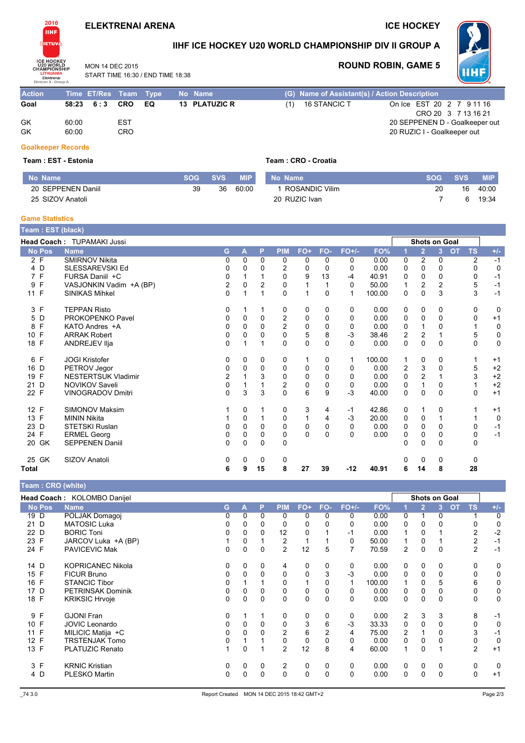### **ELEKTRENAI ARENA**

**ICE HOCKEY** 



2016

# IIHF ICE HOCKEY U20 WORLD CHAMPIONSHIP DIV II GROUP A

MON 14 DEC 2015 START TIME 16:30 / END TIME 18:38

### **ROUND ROBIN, GAME 5**



| <b>Action</b> | Time ET/Res Team Type |     |      | No Name       | (G) Name of Assistant(s) / Action Description    |
|---------------|-----------------------|-----|------|---------------|--------------------------------------------------|
| Goal          | 58:23 6:3 CRO         |     | - EQ | 13 PLATUZIC R | On Ice EST 20 2 7 9 11 16<br>16 STANCIC T<br>(1) |
|               |                       |     |      |               | CRO 20 3 7 13 16 21                              |
| GK            | 60:00                 | EST |      |               | 20 SEPPENEN D - Goalkeeper out                   |
| GK            | 60:00                 | CRO |      |               | 20 RUZIC I - Goalkeeper out                      |

#### **Goalkeeper Records**

#### Team: EST - Estonia

Team: CRO - Croatia

| No Name            | <b>SOG</b> | SVS. | <b>MIP</b> | No Name          | <b>SOG</b> | <b>SVS</b> | <b>MIP</b> |
|--------------------|------------|------|------------|------------------|------------|------------|------------|
| 20 SEPPENEN Daniil | 39         | 36   | 60:00      | 1 ROSANDIC Vilim | 20         | 16         | 40:00      |
| 25 SIZOV Anatoli   |            |      |            | 20 RUZIC Ivan    |            |            | 19:34      |

### **Game Statistics**

|                   | <b>Team: EST (black)</b>                                  |    |          |              |                |              |          |          |        |                         |                |                |           |             |             |
|-------------------|-----------------------------------------------------------|----|----------|--------------|----------------|--------------|----------|----------|--------|-------------------------|----------------|----------------|-----------|-------------|-------------|
|                   | <b>Head Coach: TUPAMAKI Jussi</b><br><b>Shots on Goal</b> |    |          |              |                |              |          |          |        |                         |                |                |           |             |             |
| <b>No Pos</b>     | <b>Name</b>                                               | G. | A        | P            | <b>PIM</b>     | $FO+$        | FO-      | $FO+/-$  | FO%    |                         | $\overline{2}$ | $\overline{3}$ | <b>OT</b> | <b>TS</b>   | $+/-$       |
| 2 F               | <b>SMIRNOV Nikita</b>                                     | 0  | $\Omega$ | $\mathbf{0}$ | 0              | 0            | $\Omega$ | 0        | 0.00   | 0                       | 2              | 0              |           | 2           | $-1$        |
| 4 D               | SLESSAREVSKI Ed                                           | O  | 0        | 0            | 2              | 0            | $\Omega$ | 0        | 0.00   | 0                       | 0              | 0              |           | 0           | $\mathbf 0$ |
| 7 F               | FURSA Daniil +C                                           | 0  |          |              | 0              | 9            | 13       | $-4$     | 40.91  | 0                       | 0              | 0              |           | 0           | $-1$        |
| $\mathsf{F}$<br>9 | VASJONKIN Vadim +A (BP)                                   | 2  | $\Omega$ | 2            | 0              |              |          | $\Omega$ | 50.00  | 1                       | 2              | 2              |           | 5           | $-1$        |
| 11 F              | <b>SINIKAS Mihkel</b>                                     | 0  |          |              | $\Omega$       |              | $\Omega$ |          | 100.00 | 0                       | $\Omega$       | 3              |           | 3           | $-1$        |
| 3 F               | <b>TEPPAN Risto</b>                                       | 0  |          |              | 0              | 0            | 0        | 0        | 0.00   | 0                       | 0              | 0              |           | 0           | 0           |
| 5 D               | PROKOPENKO Pavel                                          | 0  | $\Omega$ | $\Omega$     | $\overline{2}$ | 0            | 0        | 0        | 0.00   | 0                       | $\Omega$       | $\mathbf{0}$   |           | 0           | $+1$        |
| F<br>8            | KATO Andres +A                                            | 0  | 0        | 0            | $\overline{2}$ | 0            | 0        | 0        | 0.00   | $\mathbf 0$             |                | $\Omega$       |           |             | 0           |
| 10 F              | <b>ARRAK Robert</b>                                       | 0  | $\Omega$ | 0            | $\Omega$       | 5            | 8        | $-3$     | 38.46  | $\overline{\mathbf{c}}$ | 2              |                |           | 5           | $\mathbf 0$ |
| 18 F              | ANDREJEV IIja                                             | 0  |          | 1            | $\Omega$       | $\Omega$     | 0        | $\Omega$ | 0.00   | 0                       | $\Omega$       | $\mathbf{0}$   |           | $\Omega$    | $\mathbf 0$ |
| 6 F               | <b>JOGI Kristofer</b>                                     | 0  | 0        | 0            | 0              | 1            | 0        | 1        | 100.00 | 1                       | 0              | 0              |           |             | $+1$        |
| 16 D              | PETROV Jegor                                              | 0  | $\Omega$ | 0            | 0              | 0            | 0        | 0        | 0.00   | $\overline{c}$          | 3              | $\mathbf{0}$   |           | 5           | $+2$        |
| 19 F              | <b>NESTERTSUK Vladimir</b>                                | 2  |          | 3            | 0              | 0            | 0        | 0        | 0.00   | 0                       | 2              |                |           | 3           | $+2$        |
| 21 D              | <b>NOVIKOV Saveli</b>                                     | 0  |          |              | $\overline{c}$ | 0            | 0        | 0        | 0.00   | 0                       |                | 0              |           |             | $+2$        |
| 22 F              | <b>VINOGRADOV Dmitri</b>                                  | 0  | 3        | 3            | 0              | 6            | 9        | $-3$     | 40.00  | $\mathbf 0$             | 0              | 0              |           | $\mathbf 0$ | $+1$        |
| 12 F              | <b>SIMONOV Maksim</b>                                     |    | 0        | 1            | 0              | 3            | 4        | $-1$     | 42.86  | 0                       | 1              | 0              |           |             | $+1$        |
| 13 F              | <b>MININ Nikita</b>                                       |    | $\Omega$ |              | 0              | $\mathbf{1}$ | 4        | $-3$     | 20.00  | 0                       | 0              | 1              |           |             | $\mathbf 0$ |
| 23 D              | STETSKI Ruslan                                            | 0  | $\Omega$ | 0            | 0              | 0            | 0        | 0        | 0.00   | 0                       | 0              | 0              |           | 0           | $-1$        |
| 24 F              | <b>ERMEL Georg</b>                                        | 0  | $\Omega$ | 0            | 0              | $\mathbf{0}$ | $\Omega$ | $\Omega$ | 0.00   | 0                       | 0              | 0              |           | 0           | $-1$        |
| 20 GK             | <b>SEPPENEN Daniil</b>                                    | 0  | $\Omega$ | $\Omega$     | 0              |              |          |          |        | 0                       | 0              | $\Omega$       |           | $\Omega$    |             |
| 25 GK             | SIZOV Anatoli                                             | 0  | 0        | 0            | 0              |              |          |          |        | 0                       | 0              | 0              |           | 0           |             |
| <b>Total</b>      |                                                           | 6  | 9        | 15           | 8              | 27           | 39       | -12      | 40.91  | 6                       | 14             | 8              |           | 28          |             |

Team: CRO (white) Head Coach: KOLOMBO Danijel **Shots on Goal No Pos Name PIM** FO+ FO- $FO+/-$ FO% G  $\overline{A}$ P  $\overline{2}$ 3 **OT TS** <mark>+/</mark> POLJAK Domagoj  $19D$  $\overline{0}$  $\overline{0}$  $0.00$  $\overline{0}$  $\overline{0}$  $\overline{0}$  $\overline{0}$  $\overline{0}$  $\overline{0}$  $\overline{0}$  $\overline{0}$  $\overline{1}$  $\overline{1}$ 21 D MATOSIC Luka  $\Omega$  $\Omega$  $\Omega$  $\Omega$  $\Omega$  $\pmb{0}$  $\mathsf 0$  $0.00$  $\Omega$  $\Omega$  $\Omega$  $\Omega$  $\pmb{0}$ 22 D **BORIC Toni**  $\mathbf 0$  $\mathbf 0$  $12$  $\mathbf 0$  $0.00$  $\overline{2}$  $-2$  $\mathbf 0$  $\mathbf{1}$  $-1$  $\mathbf{1}$  $\mathbf 0$  $\mathbf{1}$ JARCOV Luka +A (BP) 23 F  $\mathbf 1$  $\Omega$  $\mathbf 1$  $\overline{c}$  $\overline{1}$  $\mathbf 1$  $\pmb{0}$ 50.00 1  $\Omega$  $\mathbf{1}$  $\overline{\mathbf{c}}$  $-1$ 24 F  $\overline{2}$  $\overline{7}$  $\overline{2}$ PAVICEVIC Mak  $\mathbf 0$  $\mathbf 0$  $\mathbf 0$  $12$ 5 70.59  $\overline{2}$  $\mathbf 0$  $\mathbf 0$  $-1$ 14 D **KOPRICANEC Nikola**  $\overline{0}$  $\Omega$  $\Omega$  $\overline{A}$  $\Omega$  $\overline{0}$  $\mathbf 0$  $0.00$  $\Omega$  $\Omega$  $\overline{0}$  $\overline{0}$  $\overline{0}$ 15 F FICUR Bruno 0  $\mathbf 0$  $\mathbf 0$  $\pmb{0}$  $\pmb{0}$ 3  $-3$  $0.00$  $\mathbf 0$  $\mathbf 0$  $\mathbf 0$  $\mathbf 0$  $\mathbf 0$ 16 F **STANCIC Tibor**  $\mathbf 0$ 100.00  $\mathbf 0$  $\mathbf 0$  $\overline{1}$  $\overline{1}$  $\mathbf 0$ 5  $6$  $\mathbf 0$  $\overline{1}$  $\mathbf{1}$ 1 17 D PETRINSAK Dominik  $\Omega$  $\Omega$  $\Omega$  $\Omega$  $\Omega$  $\mathbf 0$  $\pmb{0}$  $0.00$  $\Omega$  $\Omega$  $\Omega$  $\Omega$  $\mathbf 0$ 18 F **KRIKSIC Hrvoje**  $\mathsf 0$  $\pmb{0}$  $\pmb{0}$  $\pmb{0}$  $\pmb{0}$  $\pmb{0}$  $\mathsf 0$  $0.00$  $\mathbf 0$  $\pmb{0}$  $\mathbf 0$  $\pmb{0}$  $\mathbf 0$ 9 F **GJONI Fran**  $\overline{0}$  $\mathsf 0$  $\mathbf 0$  $\overline{1}$  $\overline{1}$  $\mathbf 0$  $\mathbf 0$  $0.00$  $\mathcal{P}$  $\mathcal{R}$  $\overline{3}$ 8  $-1$ 10 F JOVIC Leonardo  $\mathbf 0$  $\mathbf 0$  $\overline{0}$  $\mathbf 0$  $\overline{3}$  $6\overline{6}$  $-3$ 33.33  $\mathbf 0$  $\mathbf 0$  $\overline{0}$  $\mathbf 0$  $\mathbf 0$  $11 F$ MILICIC Matija +C 75.00  $\overline{4}$  $\Omega$  $\Omega$  $\Omega$  $\mathcal{P}$  $6\phantom{1}6$  $\overline{2}$  $\mathcal{P}$  $\Omega$  $\mathcal{R}$  $\overline{1}$  $-1$  $12 F$ TRSTENJAK Tomo  $\mathbf 0$  $\mathbf 0$  $\overline{1}$  $\overline{1}$  $\Omega$  $\mathbf{0}$  $\overline{0}$  $0.00$  $\Omega$  $\Omega$  $\overline{0}$  $\mathbf 0$  $\mathbf 0$ 13 F PLATUZIC Renato  $\mathbf 0$  $\overline{2}$  $12$ 8  $\overline{\mathbf{4}}$ 60.00  $\mathbf 0$  $\overline{2}$  $\mathbf{1}$  $\mathbf{1}$  $\mathbf{1}$  $\mathbf{1}$  $+1$ **KRNIC Kristian**  $3 F$  $\mathbf 0$  $\mathbf 0$  $\overline{0}$  $\overline{2}$  $\mathbf 0$  $\mathbf 0$ 0  $0.00$  $\mathbf 0$  $\mathbf 0$  $\mathbf 0$  $\mathbf 0$  $\mathbf 0$  $4\overline{D}$ PLESKO Martin  $\overline{0}$  $\overline{0}$  $\overline{0}$  $\mathbf 0$  $\overline{0}$  $\overline{0}$  $\overline{0}$  $0.00$  $\overline{0}$  $\overline{0}$  $\overline{0}$  $\overline{0}$  $+1$